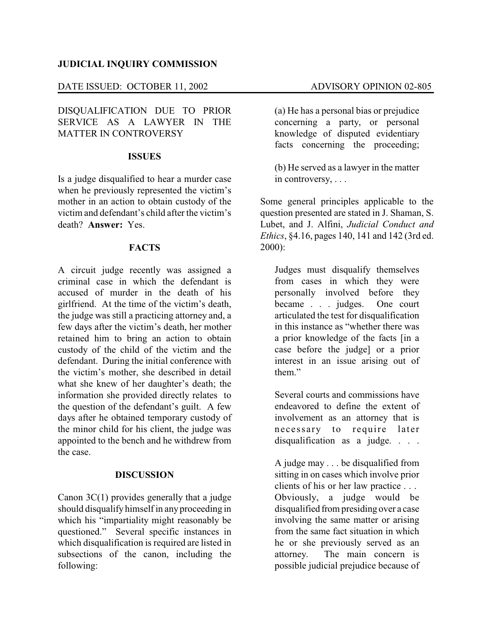### **JUDICIAL INQUIRY COMMISSION**

## DATE ISSUED: OCTOBER 11, 2002 ADVISORY OPINION 02-805

DISQUALIFICATION DUE TO PRIOR SERVICE AS A LAWYER IN THE MATTER IN CONTROVERSY

#### **ISSUES**

Is a judge disqualified to hear a murder case when he previously represented the victim's mother in an action to obtain custody of the victim and defendant's child after the victim's death? **Answer:** Yes.

## **FACTS**

A circuit judge recently was assigned a criminal case in which the defendant is accused of murder in the death of his girlfriend. At the time of the victim's death, the judge was still a practicing attorney and, a few days after the victim's death, her mother retained him to bring an action to obtain custody of the child of the victim and the defendant. During the initial conference with the victim's mother, she described in detail what she knew of her daughter's death; the information she provided directly relates to the question of the defendant's guilt. A few days after he obtained temporary custody of the minor child for his client, the judge was appointed to the bench and he withdrew from the case.

#### **DISCUSSION**

Canon 3C(1) provides generally that a judge should disqualify himself in anyproceeding in which his "impartiality might reasonably be questioned." Several specific instances in which disqualification is required are listed in subsections of the canon, including the following:

(a) He has a personal bias or prejudice concerning a party, or personal knowledge of disputed evidentiary facts concerning the proceeding;

(b) He served as a lawyer in the matter in controversy, . . .

Some general principles applicable to the question presented are stated in J. Shaman, S. Lubet, and J. Alfini, *Judicial Conduct and Ethics*, §4.16, pages 140, 141 and 142 (3rd ed. 2000):

Judges must disqualify themselves from cases in which they were personally involved before they became . . . judges. One court articulated the test for disqualification in this instance as "whether there was a prior knowledge of the facts [in a case before the judge] or a prior interest in an issue arising out of them."

Several courts and commissions have endeavored to define the extent of involvement as an attorney that is necessary to require later disqualification as a judge. . . .

A judge may . . . be disqualified from sitting in on cases which involve prior clients of his or her law practice . . . Obviously, a judge would be disqualified from presiding over a case involving the same matter or arising from the same fact situation in which he or she previously served as an attorney. The main concern is possible judicial prejudice because of